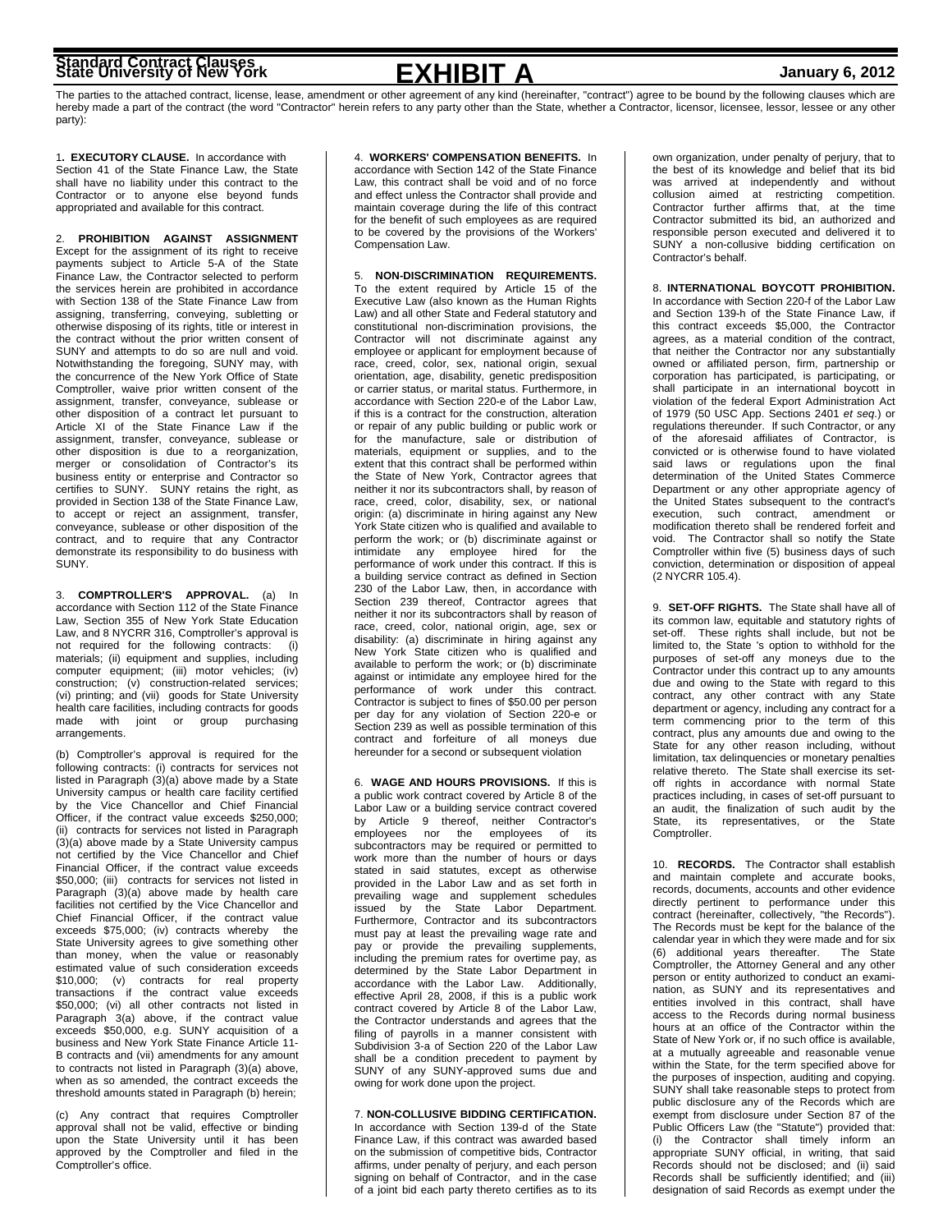# **Standard Contract Clauses State University of New York January 6, 2012**

**EXHIBIT A**

The parties to the attached contract, license, lease, amendment or other agreement of any kind (hereinafter, "contract") agree to be bound by the following clauses which are hereby made a part of the contract (the word "Contractor" herein refers to any party other than the State, whether a Contractor, licensor, licensee, lessor, lessee or any other party):

1**. EXECUTORY CLAUSE.** In accordance with Section 41 of the State Finance Law, the State shall have no liability under this contract to the Contractor or to anyone else beyond funds appropriated and available for this contract.

2. **PROHIBITION AGAINST ASSIGNMENT** Except for the assignment of its right to receive payments subject to Article 5-A of the State Finance Law, the Contractor selected to perform the services herein are prohibited in accordance with Section 138 of the State Finance Law from assigning, transferring, conveying, subletting or otherwise disposing of its rights, title or interest in the contract without the prior written consent of SUNY and attempts to do so are null and void. Notwithstanding the foregoing, SUNY may, with the concurrence of the New York Office of State Comptroller, waive prior written consent of the assignment, transfer, conveyance, sublease or other disposition of a contract let pursuant to Article XI of the State Finance Law if the assignment, transfer, conveyance, sublease or other disposition is due to a reorganization, merger or consolidation of Contractor's its business entity or enterprise and Contractor so certifies to SUNY. SUNY retains the right, as provided in Section 138 of the State Finance Law, to accept or reject an assignment, transfer, conveyance, sublease or other disposition of the contract, and to require that any Contractor demonstrate its responsibility to do business with SUNY.

3. **COMPTROLLER'S APPROVAL.** (a) In accordance with Section 112 of the State Finance Law, Section 355 of New York State Education Law, and 8 NYCRR 316, Comptroller's approval is not required for the following contracts: materials; (ii) equipment and supplies, including computer equipment; (iii) motor vehicles; (iv) construction; (v) construction-related services; (vi) printing; and (vii) goods for State University health care facilities, including contracts for goods made with joint or group purchasing arrangements.

(b) Comptroller's approval is required for the following contracts: (i) contracts for services not listed in Paragraph (3)(a) above made by a State University campus or health care facility certified by the Vice Chancellor and Chief Financial Officer, if the contract value exceeds \$250,000; (ii) contracts for services not listed in Paragraph (3)(a) above made by a State University campus not certified by the Vice Chancellor and Chief Financial Officer, if the contract value exceeds \$50,000; (iii) contracts for services not listed in Paragraph (3)(a) above made by health care facilities not certified by the Vice Chancellor and Chief Financial Officer, if the contract value exceeds \$75,000; (iv) contracts whereby the State University agrees to give something other than money, when the value or reasonably estimated value of such consideration exceeds \$10,000; (v) contracts for real property transactions if the contract value exceeds \$50,000; (vi) all other contracts not listed in Paragraph 3(a) above, if the contract value exceeds \$50,000, e.g. SUNY acquisition of a business and New York State Finance Article 11- B contracts and (vii) amendments for any amount to contracts not listed in Paragraph (3)(a) above, when as so amended, the contract exceeds the threshold amounts stated in Paragraph (b) herein;

(c) Any contract that requires Comptroller approval shall not be valid, effective or binding upon the State University until it has been approved by the Comptroller and filed in the Comptroller's office.

4. **WORKERS' COMPENSATION BENEFITS.** In

accordance with Section 142 of the State Finance Law, this contract shall be void and of no force and effect unless the Contractor shall provide and maintain coverage during the life of this contract for the benefit of such employees as are required to be covered by the provisions of the Workers' Compensation Law.

5. **NON-DISCRIMINATION REQUIREMENTS.** To the extent required by Article 15 of the Executive Law (also known as the Human Rights Law) and all other State and Federal statutory and constitutional non-discrimination provisions, the Contractor will not discriminate against any employee or applicant for employment because of race, creed, color, sex, national origin, sexual orientation, age, disability, genetic predisposition or carrier status, or marital status. Furthermore, in accordance with Section 220-e of the Labor Law, if this is a contract for the construction, alteration or repair of any public building or public work or for the manufacture, sale or distribution of materials, equipment or supplies, and to the extent that this contract shall be performed within the State of New York, Contractor agrees that neither it nor its subcontractors shall, by reason of race, creed, color, disability, sex, or national origin: (a) discriminate in hiring against any New York State citizen who is qualified and available to perform the work; or (b) discriminate against or intimidate any employee hired for the performance of work under this contract. If this is a building service contract as defined in Section 230 of the Labor Law, then, in accordance with Section 239 thereof, Contractor agrees that neither it nor its subcontractors shall by reason of race, creed, color, national origin, age, sex or disability: (a) discriminate in hiring against any New York State citizen who is qualified and available to perform the work; or (b) discriminate against or intimidate any employee hired for the performance of work under this contract. Contractor is subject to fines of \$50.00 per person per day for any violation of Section 220-e or Section 239 as well as possible termination of this contract and forfeiture of all moneys due hereunder for a second or subsequent violation

6. **WAGE AND HOURS PROVISIONS.** If this is a public work contract covered by Article 8 of the Labor Law or a building service contract covered by Article 9 thereof, neither Contractor's employees nor the employees of its subcontractors may be required or permitted to work more than the number of hours or days stated in said statutes, except as otherwise provided in the Labor Law and as set forth in prevailing wage and supplement schedules issued by the State Labor Department. Furthermore, Contractor and its subcontractors must pay at least the prevailing wage rate and pay or provide the prevailing supplements, including the premium rates for overtime pay, as determined by the State Labor Department in accordance with the Labor Law. Additionally, effective April 28, 2008, if this is a public work contract covered by Article 8 of the Labor Law, the Contractor understands and agrees that the filing of payrolls in a manner consistent with Subdivision 3-a of Section 220 of the Labor Law shall be a condition precedent to payment by SUNY of any SUNY-approved sums due and owing for work done upon the project.

7. **NON-COLLUSIVE BIDDING CERTIFICATION.** In accordance with Section 139-d of the State Finance Law, if this contract was awarded based on the submission of competitive bids, Contractor affirms, under penalty of perjury, and each person signing on behalf of Contractor, and in the case of a joint bid each party thereto certifies as to its

own organization, under penalty of perjury, that to the best of its knowledge and belief that its bid was arrived at independently and without collusion aimed at restricting competition. Contractor further affirms that, at the time Contractor submitted its bid, an authorized and responsible person executed and delivered it to SUNY a non-collusive bidding certification on Contractor's behalf.

8. **INTERNATIONAL BOYCOTT PROHIBITION.** In accordance with Section 220-f of the Labor Law and Section 139-h of the State Finance Law, if this contract exceeds \$5,000, the Contractor agrees, as a material condition of the contract, that neither the Contractor nor any substantially owned or affiliated person, firm, partnership or corporation has participated, is participating, or shall participate in an international boycott in violation of the federal Export Administration Act of 1979 (50 USC App. Sections 2401 *et seq*.) or regulations thereunder. If such Contractor, or any of the aforesaid affiliates of Contractor, is convicted or is otherwise found to have violated said laws or regulations upon the final determination of the United States Commerce Department or any other appropriate agency of the United States subsequent to the contract's execution, such contract, amendment or modification thereto shall be rendered forfeit and void. The Contractor shall so notify the State Comptroller within five (5) business days of such conviction, determination or disposition of appeal (2 NYCRR 105.4).

9. **SET-OFF RIGHTS.** The State shall have all of its common law, equitable and statutory rights of set-off. These rights shall include, but not be limited to, the State 's option to withhold for the purposes of set-off any moneys due to the Contractor under this contract up to any amounts due and owing to the State with regard to this contract, any other contract with any State department or agency, including any contract for a term commencing prior to the term of this contract, plus any amounts due and owing to the State for any other reason including, without limitation, tax delinquencies or monetary penalties relative thereto. The State shall exercise its setoff rights in accordance with normal State practices including, in cases of set-off pursuant to an audit, the finalization of such audit by the State, its representatives, or the Comptroller.

10. **RECORDS.** The Contractor shall establish and maintain complete and accurate books, records, documents, accounts and other evidence directly pertinent to performance under this contract (hereinafter, collectively, "the Records"). The Records must be kept for the balance of the calendar year in which they were made and for six<br>(6) additional years thereafter. The State (6) additional years thereafter. Comptroller, the Attorney General and any other person or entity authorized to conduct an examination, as SUNY and its representatives and entities involved in this contract, shall have access to the Records during normal business hours at an office of the Contractor within the State of New York or, if no such office is available, at a mutually agreeable and reasonable venue within the State, for the term specified above for the purposes of inspection, auditing and copying. SUNY shall take reasonable steps to protect from public disclosure any of the Records which are exempt from disclosure under Section 87 of the Public Officers Law (the "Statute") provided that: (i) the Contractor shall timely inform an appropriate SUNY official, in writing, that said Records should not be disclosed; and (ii) said Records shall be sufficiently identified; and (iii) designation of said Records as exempt under the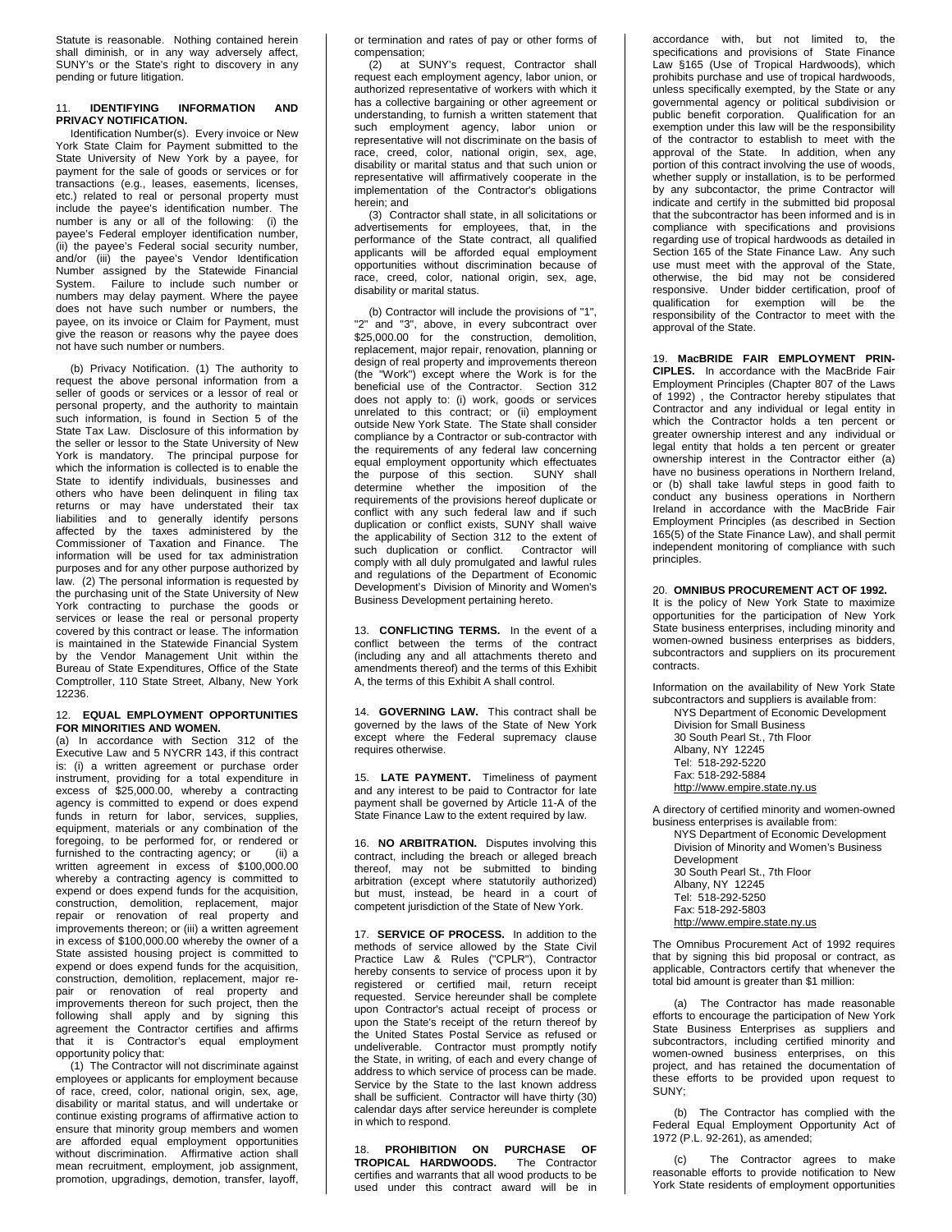Statute is reasonable. Nothing contained herein shall diminish, or in any way adversely affect, SUNY's or the State's right to discovery in any pending or future litigation.

# 11. **IDENTIFYING INFORMATION AND PRIVACY NOTIFICATION.**

Identification Number(s). Every invoice or New York State Claim for Payment submitted to the State University of New York by a payee, for payment for the sale of goods or services or for transactions (e.g., leases, easements, licenses, etc.) related to real or personal property must include the payee's identification number. The number is any or all of the following: (i) the payee's Federal employer identification number, (ii) the payee's Federal social security number, and/or (iii) the payee's Vendor Identification Number assigned by the Statewide Financial System. Failure to include such number or numbers may delay payment. Where the payee does not have such number or numbers, the payee, on its invoice or Claim for Payment, must give the reason or reasons why the payee does not have such number or numbers.

(b) Privacy Notification. (1) The authority to request the above personal information from a seller of goods or services or a lessor of real or personal property, and the authority to maintain such information, is found in Section 5 of the State Tax Law. Disclosure of this information by the seller or lessor to the State University of New York is mandatory. The principal purpose for which the information is collected is to enable the State to identify individuals, businesses and others who have been delinquent in filing tax returns or may have understated their tax liabilities and to generally identify persons affected by the taxes administered by the Commissioner of Taxation and Finance. The information will be used for tax administration purposes and for any other purpose authorized by law. (2) The personal information is requested by the purchasing unit of the State University of New York contracting to purchase the goods or services or lease the real or personal property covered by this contract or lease. The information is maintained in the Statewide Financial System by the Vendor Management Unit within the Bureau of State Expenditures, Office of the State Comptroller, 110 State Street, Albany, New York 12236.

### 12. **EQUAL EMPLOYMENT OPPORTUNITIES FOR MINORITIES AND WOMEN.**

(a) In accordance with Section 312 of the Executive Law and 5 NYCRR 143, if this contract is: (i) a written agreement or purchase order instrument, providing for a total expenditure in excess of \$25,000.00, whereby a contracting agency is committed to expend or does expend funds in return for labor, services, supplies, equipment, materials or any combination of the foregoing, to be performed for, or rendered or<br>furnished to the contracting agency: or (ii) a furnished to the contracting agency; or written agreement in excess of \$100,000.00 whereby a contracting agency is committed to expend or does expend funds for the acquisition, construction, demolition, replacement, major repair or renovation of real property and improvements thereon; or (iii) a written agreement in excess of \$100,000.00 whereby the owner of a State assisted housing project is committed to expend or does expend funds for the acquisition, construction, demolition, replacement, major repair or renovation of real property and improvements thereon for such project, then the following shall apply and by signing this agreement the Contractor certifies and affirms that it is Contractor's equal employment opportunity policy that:

(1) The Contractor will not discriminate against employees or applicants for employment because of race, creed, color, national origin, sex, age, disability or marital status, and will undertake or continue existing programs of affirmative action to ensure that minority group members and women are afforded equal employment opportunities without discrimination. Affirmative action shall mean recruitment, employment, job assignment, promotion, upgradings, demotion, transfer, layoff,

or termination and rates of pay or other forms of compensation;<br>(2) at S

at SUNY's request, Contractor shall request each employment agency, labor union, or authorized representative of workers with which it has a collective bargaining or other agreement or understanding, to furnish a written statement that such employment agency, labor union or representative will not discriminate on the basis of race, creed, color, national origin, sex, age, disability or marital status and that such union or representative will affirmatively cooperate in the implementation of the Contractor's obligations herein; and

(3) Contractor shall state, in all solicitations or advertisements for employees, that, in the performance of the State contract, all qualified applicants will be afforded equal employment opportunities without discrimination because of race, creed, color, national origin, sex, age, disability or marital status.

(b) Contractor will include the provisions of "1", "2" and "3", above, in every subcontract over \$25,000.00 for the construction, demolition, replacement, major repair, renovation, planning or design of real property and improvements thereon (the "Work") except where the Work is for the beneficial use of the Contractor. Section 312 does not apply to: (i) work, goods or services unrelated to this contract; or (ii) employment outside New York State. The State shall consider compliance by a Contractor or sub-contractor with the requirements of any federal law concerning equal employment opportunity which effectuates the purpose of this section. SUNY shall determine whether the imposition of the requirements of the provisions hereof duplicate or conflict with any such federal law and if such duplication or conflict exists, SUNY shall waive the applicability of Section 312 to the extent of such duplication or conflict. Contractor will comply with all duly promulgated and lawful rules and regulations of the Department of Economic Development's Division of Minority and Women's Business Development pertaining hereto.

13. **CONFLICTING TERMS.** In the event of a conflict between the terms of the contract (including any and all attachments thereto and amendments thereof) and the terms of this Exhibit A, the terms of this Exhibit A shall control.

14. **GOVERNING LAW.** This contract shall be governed by the laws of the State of New York except where the Federal supremacy clause requires otherwise.

15. **LATE PAYMENT.** Timeliness of payment and any interest to be paid to Contractor for late payment shall be governed by Article 11-A of the State Finance Law to the extent required by law.

16. **NO ARBITRATION.** Disputes involving this contract, including the breach or alleged breach thereof, may not be submitted to binding arbitration (except where statutorily authorized) but must, instead, be heard in a court of competent jurisdiction of the State of New York.

17. **SERVICE OF PROCESS.** In addition to the methods of service allowed by the State Civil Practice Law & Rules ("CPLR"), Contractor hereby consents to service of process upon it by registered or certified mail, return receipt requested. Service hereunder shall be complete upon Contractor's actual receipt of process or upon the State's receipt of the return thereof by the United States Postal Service as refused or undeliverable. Contractor must promptly notify the State, in writing, of each and every change of address to which service of process can be made. Service by the State to the last known address shall be sufficient. Contractor will have thirty (30) calendar days after service hereunder is complete in which to respond.

18. **PROHIBITION ON PURCHASE OF TROPICAL HARDWOODS.** The Contractor certifies and warrants that all wood products to be used under this contract award will be in

accordance with, but not limited to, the specifications and provisions of State Finance Law §165 (Use of Tropical Hardwoods), which prohibits purchase and use of tropical hardwoods, unless specifically exempted, by the State or any governmental agency or political subdivision or public benefit corporation. Qualification for an exemption under this law will be the responsibility of the contractor to establish to meet with the approval of the State. In addition, when any portion of this contract involving the use of woods, whether supply or installation, is to be performed by any subcontactor, the prime Contractor will indicate and certify in the submitted bid proposal that the subcontractor has been informed and is in compliance with specifications and provisions regarding use of tropical hardwoods as detailed in Section 165 of the State Finance Law. Any such use must meet with the approval of the State, otherwise, the bid may not be considered responsive. Under bidder certification, proof of qualification for exemption will be the responsibility of the Contractor to meet with the approval of the State.

19. **MacBRIDE FAIR EMPLOYMENT PRIN-CIPLES.** In accordance with the MacBride Fair Employment Principles (Chapter 807 of the Laws of 1992) , the Contractor hereby stipulates that Contractor and any individual or legal entity in which the Contractor holds a ten percent or greater ownership interest and any individual or legal entity that holds a ten percent or greater ownership interest in the Contractor either (a) have no business operations in Northern Ireland, or (b) shall take lawful steps in good faith to conduct any business operations in Northern Ireland in accordance with the MacBride Fair Employment Principles (as described in Section 165(5) of the State Finance Law), and shall permit independent monitoring of compliance with such principles.

# 20. **OMNIBUS PROCUREMENT ACT OF 1992.**

It is the policy of New York State to maximize opportunities for the participation of New York State business enterprises, including minority and women-owned business enterprises as bidders, subcontractors and suppliers on its procurement contracts.

Information on the availability of New York State subcontractors and suppliers is available from:

NYS Department of Economic Development Division for Small Business 30 South Pearl St., 7th Floor Albany, NY 12245 Tel: 518-292-5220 Fax: 518-292-5884 [http://www.empire.state.ny.us](http://www.empire.state.ny.us/)

A directory of certified minority and women-owned business enterprises is available from:

NYS Department of Economic Development Division of Minority and Women's Business Development 30 South Pearl St., 7th Floor Albany, NY 12245 Tel: 518-292-5250 Fax: 518-292-5803 [http://www.empire.state.ny.us](http://www.empire.state.ny.us/)

The Omnibus Procurement Act of 1992 requires that by signing this bid proposal or contract, as applicable, Contractors certify that whenever the total bid amount is greater than \$1 million:

(a) The Contractor has made reasonable efforts to encourage the participation of New York State Business Enterprises as suppliers and subcontractors, including certified minority and women-owned business enterprises, on this project, and has retained the documentation of these efforts to be provided upon request to SUNY;

(b) The Contractor has complied with the Federal Equal Employment Opportunity Act of 1972 (P.L. 92-261), as amended;

(c) The Contractor agrees to make reasonable efforts to provide notification to New York State residents of employment opportunities